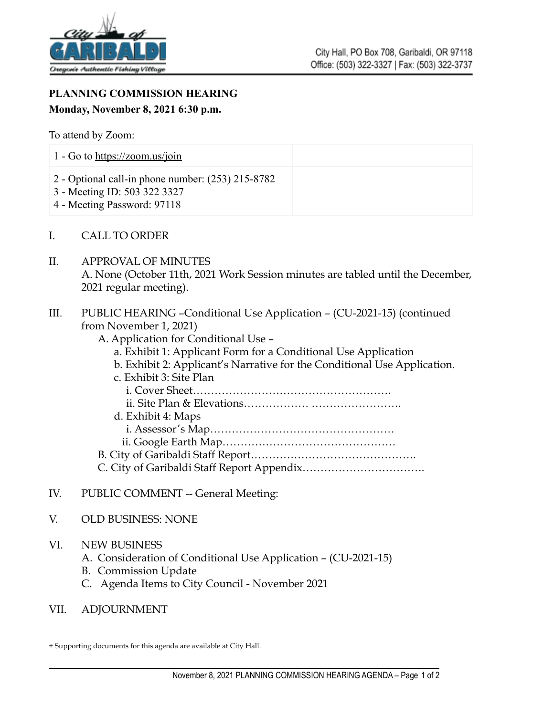

## **PLANNING COMMISSION HEARING Monday, November 8, 2021 6:30 p.m.**

To attend by Zoom:

| 1 - Go to $\frac{https://zoom.us/join}{https://zoom.us/join}$                                                      |  |
|--------------------------------------------------------------------------------------------------------------------|--|
| 2 - Optional call-in phone number: $(253)$ 215-8782<br>3 - Meeting ID: 503 322 3327<br>4 - Meeting Password: 97118 |  |

- I. CALL TO ORDER
- II. APPROVAL OF MINUTES A. None (October 11th, 2021 Work Session minutes are tabled until the December, 2021 regular meeting).
- III. PUBLIC HEARING –Conditional Use Application (CU-2021-15) (continued from November 1, 2021)
	- A. Application for Conditional Use
		- a. Exhibit 1: Applicant Form for a Conditional Use Application
		- b. Exhibit 2: Applicant's Narrative for the Conditional Use Application.
	- c. Exhibit 3: Site Plan i. Cover Sheet………………………………………………. ii. Site Plan & Elevations……………… ……………………. d. Exhibit 4: Maps
		- i. Assessor's Map…………………………………………… ii. Google Earth Map…………………………………………
	- B. City of Garibaldi Staff Report……………………………………….
	- C. City of Garibaldi Staff Report Appendix…………………………….
- IV. PUBLIC COMMENT -- General Meeting:
- V. OLD BUSINESS: NONE
- VI. NEW BUSINESS
	- A. Consideration of Conditional Use Application (CU-2021-15)
	- B. Commission Update
	- C. Agenda Items to City Council November 2021
- VII. ADJOURNMENT

<sup>+</sup> Supporting documents for this agenda are available at City Hall.